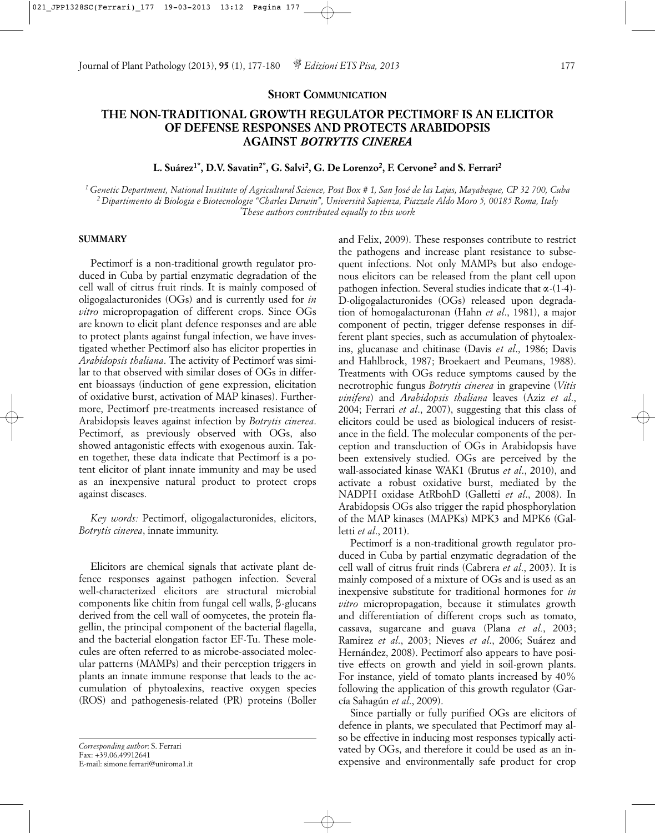### **SHORT COMMUNICATION**

# **THE NON-TRADITIONAL GROWTH REGULATOR PECTIMORF IS AN ELICITOR OF DEFENSE RESPONSES AND PROTECTS ARABIDOPSIS AGAINST** *BOTRYTIS CINEREA*

## **L. Suárez1\*, D.V. Savatin2\*, G. Salvi2, G. De Lorenzo2, F. Cervone2 and S. Ferrari2**

*1 Genetic Department, National Institute of Agricultural Science, Post Box # 1, San José de las Lajas, Mayabeque, CP 32 700, Cuba 2 Dipartimento di Biologia e Biotecnologie "Charles Darwin", Università Sapienza, Piazzale Aldo Moro 5, 00185 Roma, Italy \* These authors contributed equally to this work*

### **SUMMARY**

Pectimorf is a non-traditional growth regulator produced in Cuba by partial enzymatic degradation of the cell wall of citrus fruit rinds. It is mainly composed of oligogalacturonides (OGs) and is currently used for *in vitro* micropropagation of different crops. Since OGs are known to elicit plant defence responses and are able to protect plants against fungal infection, we have investigated whether Pectimorf also has elicitor properties in *Arabidopsis thaliana*. The activity of Pectimorf was similar to that observed with similar doses of OGs in different bioassays (induction of gene expression, elicitation of oxidative burst, activation of MAP kinases). Furthermore, Pectimorf pre-treatments increased resistance of Arabidopsis leaves against infection by *Botrytis cinerea*. Pectimorf, as previously observed with OGs, also showed antagonistic effects with exogenous auxin. Taken together, these data indicate that Pectimorf is a potent elicitor of plant innate immunity and may be used as an inexpensive natural product to protect crops against diseases.

*Key words:* Pectimorf, oligogalacturonides, elicitors, *Botrytis cinerea*, innate immunity.

Elicitors are chemical signals that activate plant defence responses against pathogen infection. Several well-characterized elicitors are structural microbial components like chitin from fungal cell walls,  $\beta$ -glucans derived from the cell wall of oomycetes, the protein flagellin, the principal component of the bacterial flagella, and the bacterial elongation factor EF-Tu. These molecules are often referred to as microbe-associated molecular patterns (MAMPs) and their perception triggers in plants an innate immune response that leads to the accumulation of phytoalexins, reactive oxygen species (ROS) and pathogenesis-related (PR) proteins (Boller

and Felix, 2009). These responses contribute to restrict the pathogens and increase plant resistance to subsequent infections. Not only MAMPs but also endogenous elicitors can be released from the plant cell upon pathogen infection. Several studies indicate that  $\alpha$ -(1-4)-D-oligogalacturonides (OGs) released upon degradation of homogalacturonan (Hahn *et al*., 1981), a major component of pectin, trigger defense responses in different plant species, such as accumulation of phytoalexins, glucanase and chitinase (Davis *et al*., 1986; Davis and Hahlbrock, 1987; Broekaert and Peumans, 1988). Treatments with OGs reduce symptoms caused by the necrotrophic fungus *Botrytis cinerea* in grapevine (*Vitis vinifera*) and *Arabidopsis thaliana* leaves (Aziz *et al*., 2004; Ferrari *et al*., 2007), suggesting that this class of elicitors could be used as biological inducers of resistance in the field. The molecular components of the perception and transduction of OGs in Arabidopsis have been extensively studied. OGs are perceived by the wall-associated kinase WAK1 (Brutus *et al*., 2010), and activate a robust oxidative burst, mediated by the NADPH oxidase AtRbohD (Galletti *et al*., 2008). In Arabidopsis OGs also trigger the rapid phosphorylation of the MAP kinases (MAPKs) MPK3 and MPK6 (Galletti *et al*., 2011).

Pectimorf is a non-traditional growth regulator produced in Cuba by partial enzymatic degradation of the cell wall of citrus fruit rinds (Cabrera *et al*., 2003). It is mainly composed of a mixture of OGs and is used as an inexpensive substitute for traditional hormones for *in vitro* micropropagation, because it stimulates growth and differentiation of different crops such as tomato, cassava, sugarcane and guava (Plana *et al.*, 2003; Ramirez *et al*., 2003; Nieves *et al*., 2006; Suárez and Hernández, 2008). Pectimorf also appears to have positive effects on growth and yield in soil-grown plants. For instance, yield of tomato plants increased by 40% following the application of this growth regulator (García Sahagún *et al*., 2009).

Since partially or fully purified OGs are elicitors of defence in plants, we speculated that Pectimorf may also be effective in inducing most responses typically activated by OGs, and therefore it could be used as an inexpensive and environmentally safe product for crop

*Corresponding author*: S. Ferrari Fax: +39.06.49912641 E-mail: simone.ferrari@uniroma1.it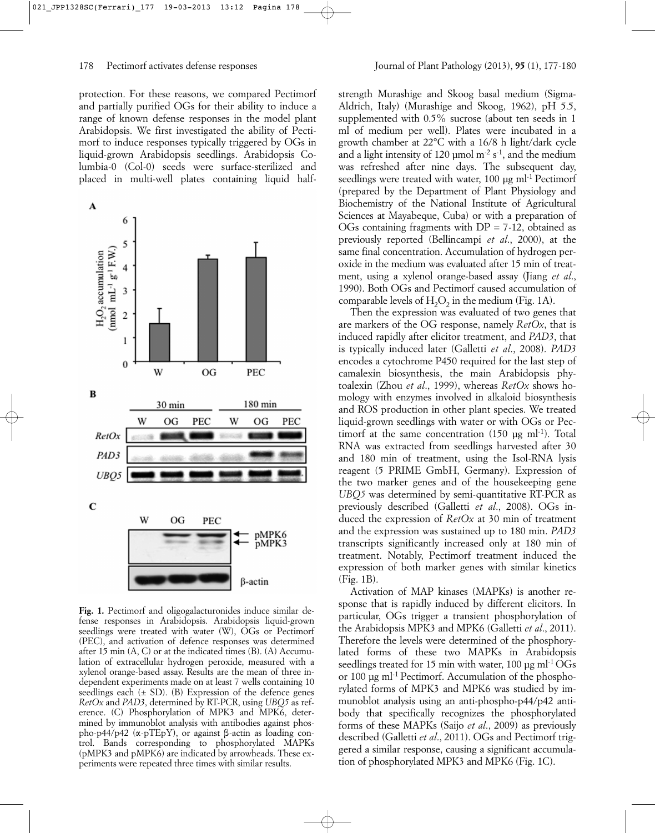protection. For these reasons, we compared Pectimorf and partially purified OGs for their ability to induce a range of known defense responses in the model plant Arabidopsis. We first investigated the ability of Pectimorf to induce responses typically triggered by OGs in liquid-grown Arabidopsis seedlings. Arabidopsis Columbia-0 (Col-0) seeds were surface-sterilized and placed in multi-well plates containing liquid half-

A 6 5 (nmol mL<sup>-1</sup>  $g^{-1}$  F.W.) H<sub>2</sub>O<sub>2</sub> accumulation  $\overline{4}$  $\overline{3}$  $\overline{2}$ 1  $\theta$ W OG PEC  $\bf{B}$ 30 min 180 min OG PEC W OG PEC RetOx PAD<sub>3</sub> UB<sub>O5</sub>  $\mathbf C$ W OG PEC pMPK6<br>pMPK3  $\beta$ -actin

Fig. 1. Pectimorf and oligogalacturonides induce similar defense responses in Arabidopsis. Arabidopsis liquid-grown seedlings were treated with water (W), OGs or Pectimorf (PEC), and activation of defence responses was determined after 15 min  $(A, C)$  or at the indicated times  $(B)$ .  $(A)$  Accumulation of extracellular hydrogen peroxide, measured with a xylenol orange-based assay. Results are the mean of three independent experiments made on at least 7 wells containing 10 seedlings each  $(\pm SD)$ . (B) Expression of the defence genes *RetOx* and *PAD3*, determined by RT-PCR, using *UBQ5* as reference. (C) Phosphorylation of MPK3 and MPK6, determined by immunoblot analysis with antibodies against phospho-p44/p42 ( $\alpha$ -pTEpY), or against  $\beta$ -actin as loading control. Bands corresponding to phosphorylated MAPKs (pMPK3 and pMPK6) are indicated by arrowheads. These experiments were repeated three times with similar results.

strength Murashige and Skoog basal medium (Sigma-Aldrich, Italy) (Murashige and Skoog, 1962), pH 5.5, supplemented with 0.5% sucrose (about ten seeds in 1 ml of medium per well). Plates were incubated in a growth chamber at 22°C with a 16/8 h light/dark cycle and a light intensity of 120  $\mu$ mol m<sup>-2</sup> s<sup>-1</sup>, and the medium was refreshed after nine days. The subsequent day, seedlings were treated with water, 100 µg ml<sup>-1</sup> Pectimorf (prepared by the Department of Plant Physiology and Biochemistry of the National Institute of Agricultural Sciences at Mayabeque, Cuba) or with a preparation of OGs containing fragments with  $DP = 7-12$ , obtained as previously reported (Bellincampi *et al*., 2000), at the same final concentration. Accumulation of hydrogen peroxide in the medium was evaluated after 15 min of treatment, using a xylenol orange-based assay (Jiang *et al*., 1990). Both OGs and Pectimorf caused accumulation of comparable levels of  $H_2O_2$  in the medium (Fig. 1A).

Then the expression was evaluated of two genes that are markers of the OG response, namely *RetOx*, that is induced rapidly after elicitor treatment, and *PAD3*, that is typically induced later (Galletti *et al*., 2008). *PAD3* encodes a cytochrome P450 required for the last step of camalexin biosynthesis, the main Arabidopsis phytoalexin (Zhou *et al*., 1999), whereas *RetOx* shows homology with enzymes involved in alkaloid biosynthesis and ROS production in other plant species. We treated liquid-grown seedlings with water or with OGs or Pectimorf at the same concentration  $(150 \text{ µg ml-1})$ . Total RNA was extracted from seedlings harvested after 30 and 180 min of treatment, using the Isol-RNA lysis reagent (5 PRIME GmbH, Germany). Expression of the two marker genes and of the housekeeping gene *UBQ5* was determined by semi-quantitative RT-PCR as previously described (Galletti *et al*., 2008). OGs induced the expression of *RetOx* at 30 min of treatment and the expression was sustained up to 180 min. *PAD3* transcripts significantly increased only at 180 min of treatment. Notably, Pectimorf treatment induced the expression of both marker genes with similar kinetics (Fig. 1B).

Activation of MAP kinases (MAPKs) is another response that is rapidly induced by different elicitors. In particular, OGs trigger a transient phosphorylation of the Arabidopsis MPK3 and MPK6 (Galletti *et al*., 2011). Therefore the levels were determined of the phosphorylated forms of these two MAPKs in Arabidopsis seedlings treated for 15 min with water, 100  $\mu$ g ml<sup>-1</sup> OGs or 100 µg ml-1 Pectimorf. Accumulation of the phosphorylated forms of MPK3 and MPK6 was studied by immunoblot analysis using an anti-phospho-p44/p42 antibody that specifically recognizes the phosphorylated forms of these MAPKs (Saijo *et al*., 2009) as previously described (Galletti *et al*., 2011). OGs and Pectimorf triggered a similar response, causing a significant accumulation of phosphorylated MPK3 and MPK6 (Fig. 1C).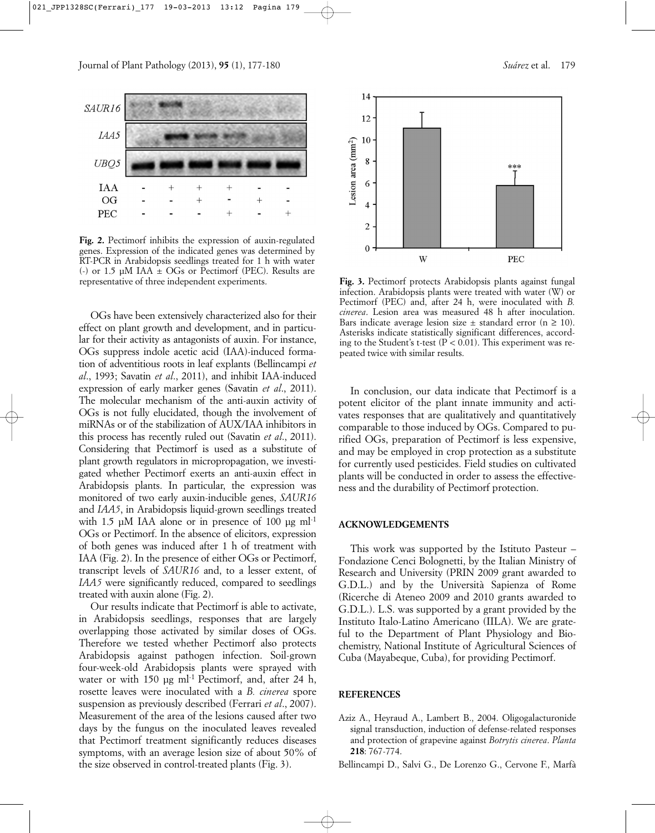

**Fig. 2.** Pectimorf inhibits the expression of auxin-regulated genes. Expression of the indicated genes was determined by RT-PCR in Arabidopsis seedlings treated for 1 h with water (-) or 1.5  $\mu$ M IAA  $\pm$  OGs or Pectimorf (PEC). Results are representative of three independent experiments.

OGs have been extensively characterized also for their effect on plant growth and development, and in particular for their activity as antagonists of auxin. For instance, OGs suppress indole acetic acid (IAA)-induced formation of adventitious roots in leaf explants (Bellincampi *et al*., 1993; Savatin *et al*., 2011), and inhibit IAA-induced expression of early marker genes (Savatin *et al*., 2011). The molecular mechanism of the anti-auxin activity of OGs is not fully elucidated, though the involvement of miRNAs or of the stabilization of AUX/IAA inhibitors in this process has recently ruled out (Savatin *et al*., 2011). Considering that Pectimorf is used as a substitute of plant growth regulators in micropropagation, we investigated whether Pectimorf exerts an anti-auxin effect in Arabidopsis plants. In particular, the expression was monitored of two early auxin-inducible genes, *SAUR16* and *IAA5*, in Arabidopsis liquid-grown seedlings treated with 1.5  $\mu$ M IAA alone or in presence of 100  $\mu$ g ml<sup>-1</sup> OGs or Pectimorf. In the absence of elicitors, expression of both genes was induced after 1 h of treatment with IAA (Fig. 2). In the presence of either OGs or Pectimorf, transcript levels of *SAUR16* and, to a lesser extent, of *IAA5* were significantly reduced, compared to seedlings treated with auxin alone (Fig. 2).

Our results indicate that Pectimorf is able to activate, in Arabidopsis seedlings, responses that are largely overlapping those activated by similar doses of OGs. Therefore we tested whether Pectimorf also protects Arabidopsis against pathogen infection. Soil-grown four-week-old Arabidopsis plants were sprayed with water or with 150 µg ml<sup>-1</sup> Pectimorf, and, after 24 h, rosette leaves were inoculated with a *B. cinerea* spore suspension as previously described (Ferrari *et al*., 2007). Measurement of the area of the lesions caused after two days by the fungus on the inoculated leaves revealed that Pectimorf treatment significantly reduces diseases symptoms, with an average lesion size of about 50% of the size observed in control-treated plants (Fig. 3).



Fig. 3. Pectimorf protects Arabidopsis plants against fungal infection. Arabidopsis plants were treated with water (W) or Pectimorf (PEC) and, after 24 h, were inoculated with *B. cinerea*. Lesion area was measured 48 h after inoculation. Bars indicate average lesion size  $\pm$  standard error (n  $\geq$  10). Asterisks indicate statistically significant differences, according to the Student's t-test ( $P < 0.01$ ). This experiment was repeated twice with similar results.

In conclusion, our data indicate that Pectimorf is a potent elicitor of the plant innate immunity and activates responses that are qualitatively and quantitatively comparable to those induced by OGs. Compared to purified OGs, preparation of Pectimorf is less expensive, and may be employed in crop protection as a substitute for currently used pesticides. Field studies on cultivated plants will be conducted in order to assess the effectiveness and the durability of Pectimorf protection.

#### **ACKNOWLEDGEMENTS**

This work was supported by the Istituto Pasteur – Fondazione Cenci Bolognetti, by the Italian Ministry of Research and University (PRIN 2009 grant awarded to G.D.L.) and by the Università Sapienza of Rome (Ricerche di Ateneo 2009 and 2010 grants awarded to G.D.L.). L.S. was supported by a grant provided by the Instituto Italo-Latino Americano (IILA). We are grateful to the Department of Plant Physiology and Biochemistry, National Institute of Agricultural Sciences of Cuba (Mayabeque, Cuba), for providing Pectimorf.

## **REFERENCES**

- Aziz A., Heyraud A., Lambert B., 2004. Oligogalacturonide signal transduction, induction of defense-related responses and protection of grapevine against *Botrytis cinerea*. *Planta* **218**: 767-774.
- Bellincampi D., Salvi G., De Lorenzo G., Cervone F., Marfà